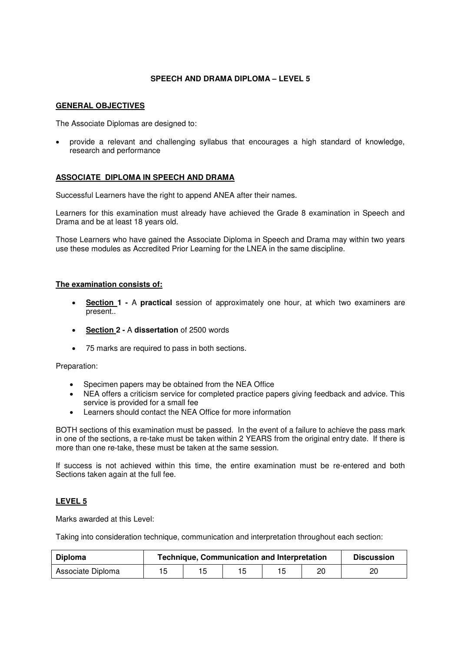# **SPEECH AND DRAMA DIPLOMA – LEVEL 5**

### **GENERAL OBJECTIVES**

The Associate Diplomas are designed to:

• provide a relevant and challenging syllabus that encourages a high standard of knowledge, research and performance

## **ASSOCIATE DIPLOMA IN SPEECH AND DRAMA**

Successful Learners have the right to append ANEA after their names.

Learners for this examination must already have achieved the Grade 8 examination in Speech and Drama and be at least 18 years old.

Those Learners who have gained the Associate Diploma in Speech and Drama may within two years use these modules as Accredited Prior Learning for the LNEA in the same discipline.

## **The examination consists of:**

- **Section 1** A **practical** session of approximately one hour, at which two examiners are present..
- **Section 2** A **dissertation** of 2500 words
- 75 marks are required to pass in both sections.

#### Preparation:

- Specimen papers may be obtained from the NEA Office
- NEA offers a criticism service for completed practice papers giving feedback and advice. This service is provided for a small fee
- Learners should contact the NEA Office for more information

BOTH sections of this examination must be passed. In the event of a failure to achieve the pass mark in one of the sections, a re-take must be taken within 2 YEARS from the original entry date. If there is more than one re-take, these must be taken at the same session.

If success is not achieved within this time, the entire examination must be re-entered and both Sections taken again at the full fee.

## **LEVEL 5**

Marks awarded at this Level:

Taking into consideration technique, communication and interpretation throughout each section:

| <b>Diploma</b>    | <b>Technique, Communication and Interpretation</b> |  |  |  |    | <b>Discussion</b> |
|-------------------|----------------------------------------------------|--|--|--|----|-------------------|
| Associate Diploma |                                                    |  |  |  | 20 | 20                |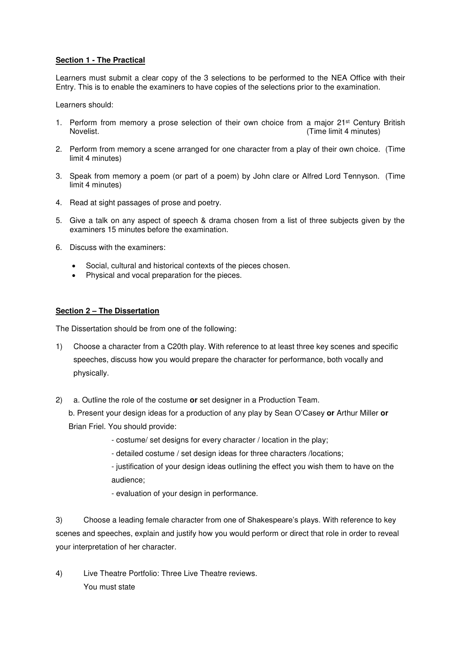## **Section 1 - The Practical**

Learners must submit a clear copy of the 3 selections to be performed to the NEA Office with their Entry. This is to enable the examiners to have copies of the selections prior to the examination.

Learners should:

- 1. Perform from memory a prose selection of their own choice from a major 21<sup>st</sup> Century British<br>Novelist. (Time limit 4 minutes) (Time limit 4 minutes)
- 2. Perform from memory a scene arranged for one character from a play of their own choice. (Time limit 4 minutes)
- 3. Speak from memory a poem (or part of a poem) by John clare or Alfred Lord Tennyson. (Time limit 4 minutes)
- 4. Read at sight passages of prose and poetry.
- 5. Give a talk on any aspect of speech & drama chosen from a list of three subjects given by the examiners 15 minutes before the examination.
- 6. Discuss with the examiners:
	- Social, cultural and historical contexts of the pieces chosen.
	- Physical and vocal preparation for the pieces.

### **Section 2 – The Dissertation**

The Dissertation should be from one of the following:

- 1) Choose a character from a C20th play. With reference to at least three key scenes and specific speeches, discuss how you would prepare the character for performance, both vocally and physically.
- 2) a. Outline the role of the costume **or** set designer in a Production Team.

b. Present your design ideas for a production of any play by Sean O'Casey **or** Arthur Miller **or** Brian Friel. You should provide:

- costume/ set designs for every character / location in the play;
- detailed costume / set design ideas for three characters /locations;

- justification of your design ideas outlining the effect you wish them to have on the audience;

- evaluation of your design in performance.

3) Choose a leading female character from one of Shakespeare's plays. With reference to key scenes and speeches, explain and justify how you would perform or direct that role in order to reveal your interpretation of her character.

4) Live Theatre Portfolio: Three Live Theatre reviews. You must state